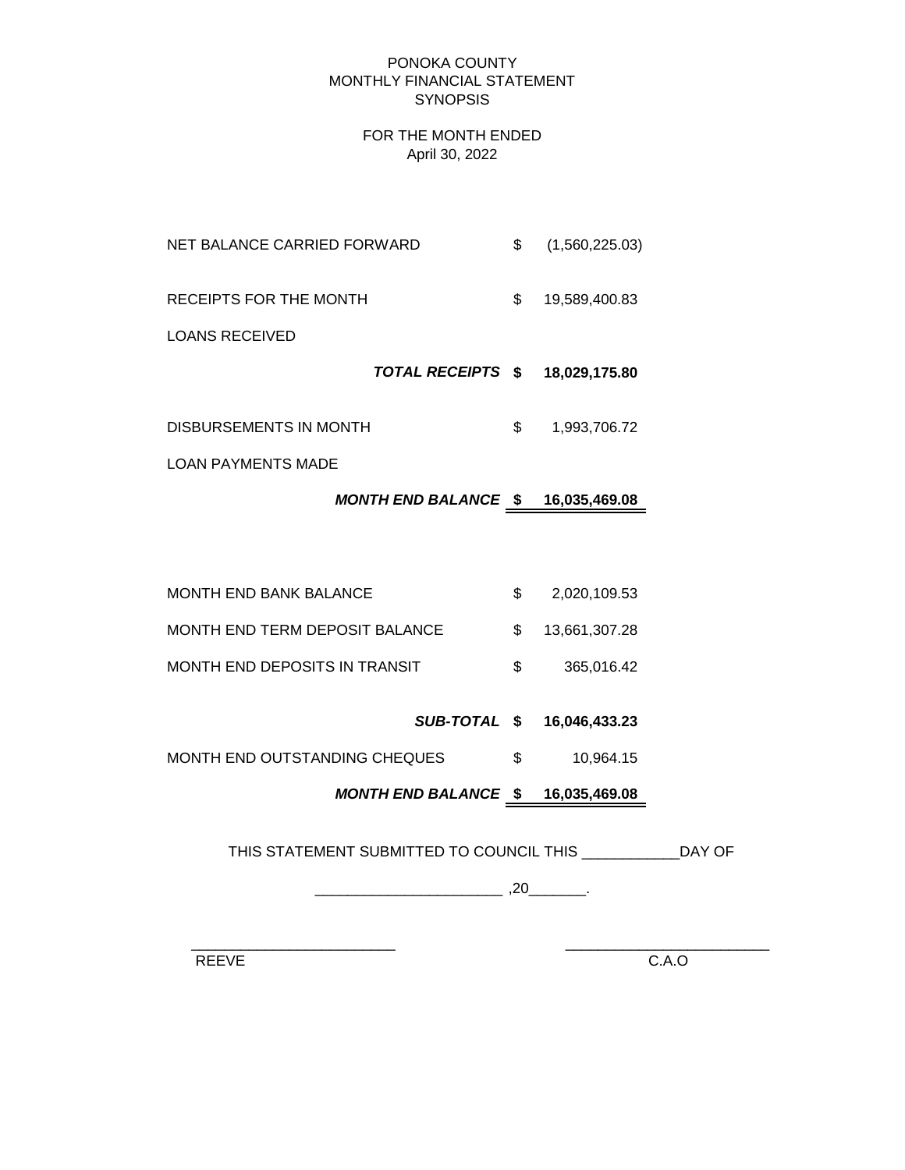#### PONOKA COUNTY MONTHLY FINANCIAL STATEMENT **SYNOPSIS**

#### FOR THE MONTH ENDED April 30, 2022

| NET BALANCE CARRIED FORWARD | \$<br>(1,560,225.03) |
|-----------------------------|----------------------|
| RECEIPTS FOR THE MONTH      | \$<br>19,589,400.83  |
| LOANS RECEIVED              |                      |
| TOTAL RECEIPTS \$           | 18,029,175.80        |
| DISBURSEMENTS IN MONTH      | \$<br>1,993,706.72   |

LOAN PAYMENTS MADE

# *MONTH END BALANCE* **\$ 16,035,469.08**

| MONTH END BANK BALANCE         | 2,020,109.53     |
|--------------------------------|------------------|
| MONTH END TERM DEPOSIT BALANCE | \$ 13.661.307.28 |
| MONTH END DEPOSITS IN TRANSIT  | 365.016.42       |

# *SUB-TOTAL* **\$ 16,046,433.23**

MONTH END OUTSTANDING CHEQUES  $$$  10,964.15

# *MONTH END BALANCE* **\$ 16,035,469.08**

THIS STATEMENT SUBMITTED TO COUNCIL THIS \_\_\_\_\_\_\_\_\_\_\_\_DAY OF

\_\_\_\_\_\_\_\_\_\_\_\_\_\_\_\_\_\_\_\_\_\_\_ ,20\_\_\_\_\_\_\_.

 $\frac{1}{2}$  ,  $\frac{1}{2}$  ,  $\frac{1}{2}$  ,  $\frac{1}{2}$  ,  $\frac{1}{2}$  ,  $\frac{1}{2}$  ,  $\frac{1}{2}$  ,  $\frac{1}{2}$  ,  $\frac{1}{2}$  ,  $\frac{1}{2}$  ,  $\frac{1}{2}$  ,  $\frac{1}{2}$  ,  $\frac{1}{2}$  ,  $\frac{1}{2}$  ,  $\frac{1}{2}$  ,  $\frac{1}{2}$  ,  $\frac{1}{2}$  ,  $\frac{1}{2}$  ,  $\frac{1$ 

REEVE C.A.O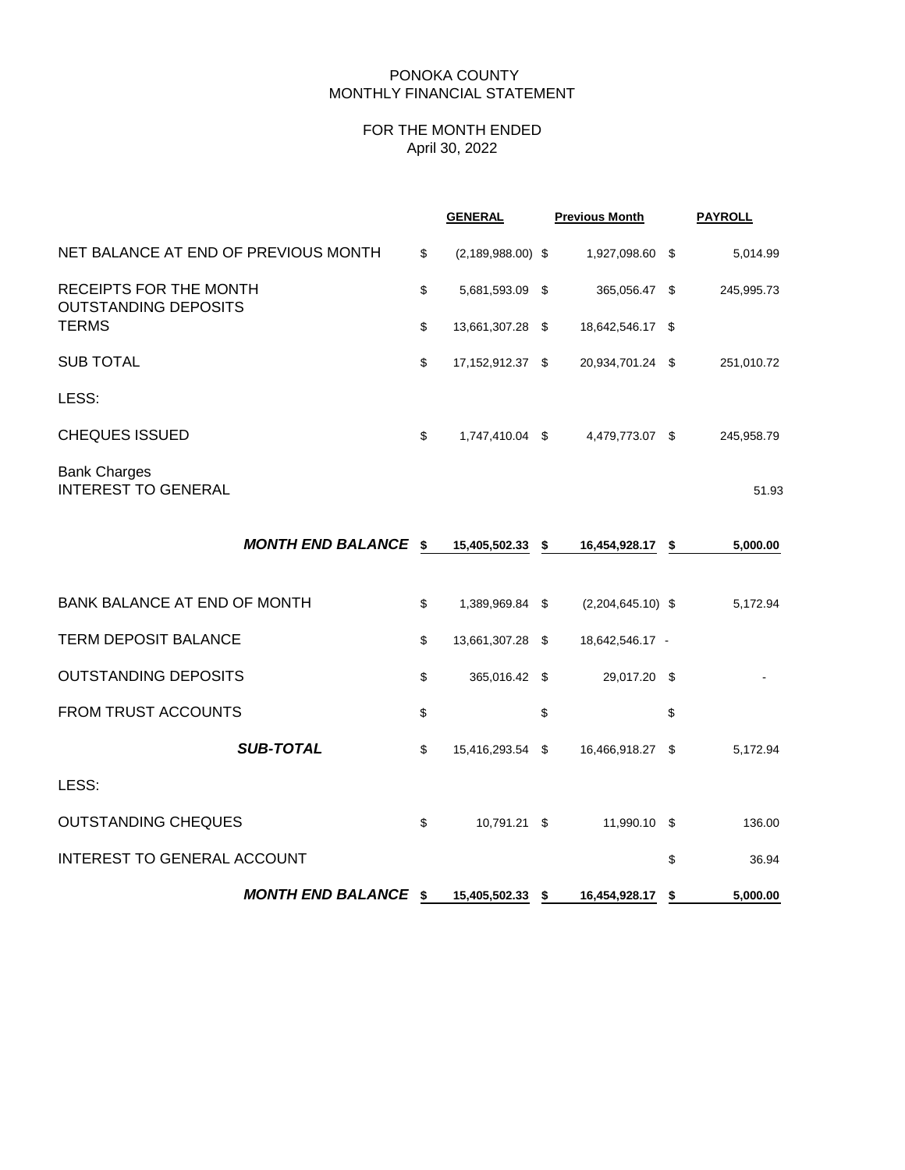#### PONOKA COUNTY MONTHLY FINANCIAL STATEMENT

## FOR THE MONTH ENDED April 30, 2022

|                                                       | <b>GENERAL</b>              |    | <b>Previous Month</b> |    | <b>PAYROLL</b> |
|-------------------------------------------------------|-----------------------------|----|-----------------------|----|----------------|
| NET BALANCE AT END OF PREVIOUS MONTH                  | \$<br>$(2, 189, 988.00)$ \$ |    | 1,927,098.60 \$       |    | 5,014.99       |
| RECEIPTS FOR THE MONTH<br><b>OUTSTANDING DEPOSITS</b> | \$<br>5,681,593.09 \$       |    | 365,056.47 \$         |    | 245,995.73     |
| <b>TERMS</b>                                          | \$<br>13,661,307.28 \$      |    | 18,642,546.17 \$      |    |                |
| <b>SUB TOTAL</b>                                      | \$<br>17,152,912.37 \$      |    | 20,934,701.24 \$      |    | 251,010.72     |
| LESS:                                                 |                             |    |                       |    |                |
| <b>CHEQUES ISSUED</b>                                 | \$<br>1,747,410.04 \$       |    | 4,479,773.07 \$       |    | 245,958.79     |
| <b>Bank Charges</b><br><b>INTEREST TO GENERAL</b>     |                             |    |                       |    | 51.93          |
| <b>MONTH END BALANCE \$</b>                           | 15,405,502.33 \$            |    | 16,454,928.17 \$      |    | 5,000.00       |
| BANK BALANCE AT END OF MONTH                          | \$<br>1,389,969.84 \$       |    | $(2,204,645.10)$ \$   |    | 5,172.94       |
| <b>TERM DEPOSIT BALANCE</b>                           | \$<br>13,661,307.28 \$      |    | 18,642,546.17 -       |    |                |
| <b>OUTSTANDING DEPOSITS</b>                           | \$<br>365,016.42 \$         |    | 29,017.20 \$          |    |                |
| <b>FROM TRUST ACCOUNTS</b>                            | \$                          | \$ |                       | \$ |                |
| <b>SUB-TOTAL</b>                                      | \$<br>15,416,293.54 \$      |    | 16,466,918.27 \$      |    | 5,172.94       |
| LESS:                                                 |                             |    |                       |    |                |
| <b>OUTSTANDING CHEQUES</b>                            | \$<br>10,791.21 \$          |    | 11,990.10 \$          |    | 136.00         |
| INTEREST TO GENERAL ACCOUNT                           |                             |    |                       | \$ | 36.94          |
| <b>MONTH END BALANCE \$</b>                           | 15,405,502.33 \$            |    | 16,454,928.17 \$      |    | 5,000.00       |